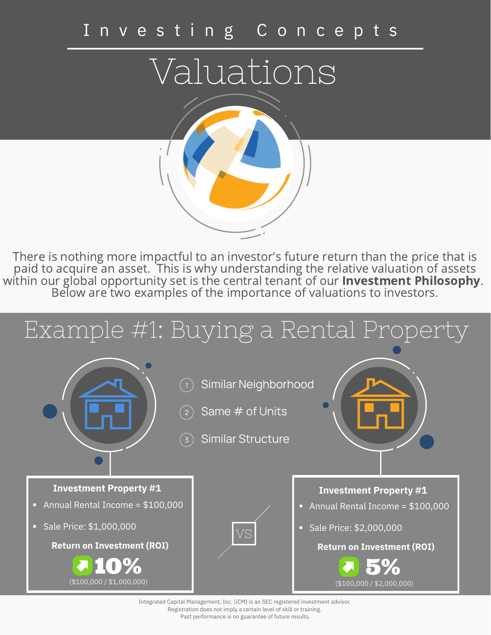## I n v e s t i n g C o n c e p t s

Valuations

There is nothing more impactful to an investor's future return than the price that is paid to acquire an asset. This is why understanding the relative valuation of assets within our global opportunity set is the central tenant of our **Investment Philosophy**. Below are two examples of the importance of valuations to investors.



Integrated Capital Management, Inc. (iCM) is an SEC registered investment advisor. Registration does not imply a certain level of skill or training. Past performance is no guarantee of future results.